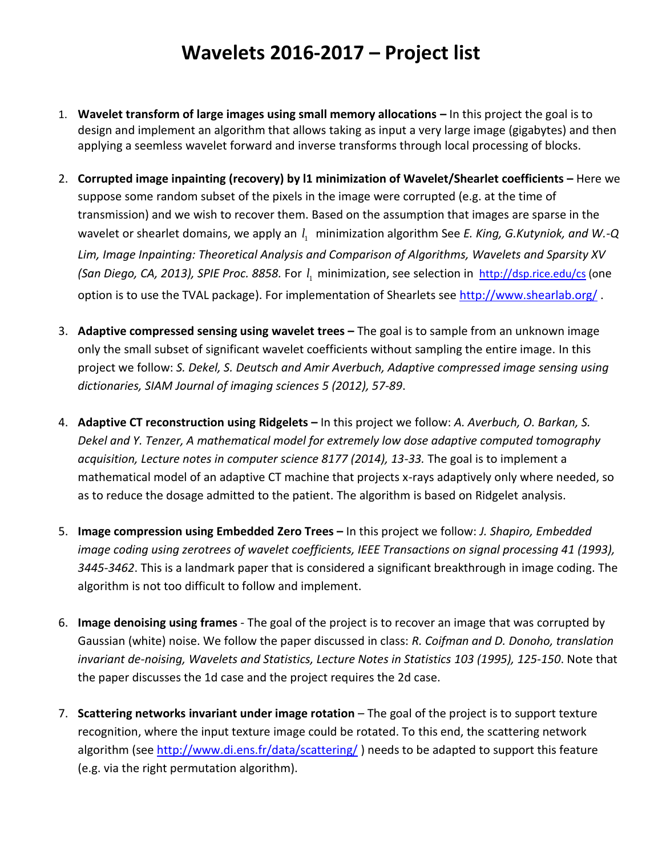## **Wavelets 2016-2017 – Project list**

- 1. **Wavelet transform of large images using small memory allocations –** In this project the goal is to design and implement an algorithm that allows taking as input a very large image (gigabytes) and then applying a seemless wavelet forward and inverse transforms through local processing of blocks.
- 2. **Corrupted image inpainting (recovery) by l1 minimization of Wavelet/Shearlet coefficients –** Here we suppose some random subset of the pixels in the image were corrupted (e.g. at the time of transmission) and we wish to recover them. Based on the assumption that images are sparse in the wavelet or shearlet domains, we apply an  $l_1$  minimization algorithm See *E. King, G.Kutyniok, and W.-Q Lim, Image Inpainting: Theoretical Analysis and Comparison of Algorithms, Wavelets and Sparsity XV*  (San Diego, CA, 2013), SPIE Proc. 8858. For  $l_1$  minimization, see selection in <http://dsp.rice.edu/cs> (one option is to use the TVAL package). For implementation of Shearlets see<http://www.shearlab.org/>.
- 3. **Adaptive compressed sensing using wavelet trees –** The goal is to sample from an unknown image only the small subset of significant wavelet coefficients without sampling the entire image. In this project we follow: *[S. Dekel, S. Deutsch](https://sites.google.com/site/shaydeutscatusc/) and [Amir Averbuch,](http://www.cs.tau.ac.il/~amir1/) Adaptive compressed image sensing using dictionaries, [SIAM Journal of imaging sciences](http://www.siam.org/journals/siims.php) 5 (2012), 57-89*.
- 4. **Adaptive CT reconstruction using Ridgelets –** In this project we follow: *[A. Averbuch,](http://www.cs.tau.ac.il/~amir1/) O. Barkan, S. Dekel and Y. Tenzer, A mathematical model for extremely low dose adaptive computed tomography acquisition, Lecture notes in computer science 8177 (2014), 13-33.* The goal is to implement a mathematical model of an adaptive CT machine that projects x-rays adaptively only where needed, so as to reduce the dosage admitted to the patient. The algorithm is based on Ridgelet analysis.
- 5. **Image compression using Embedded Zero Trees –** In this project we follow: *J. Shapiro, Embedded image coding using zerotrees of wavelet coefficients, IEEE Transactions on signal processing 41 (1993), 3445-3462*. This is a landmark paper that is considered a significant breakthrough in image coding. The algorithm is not too difficult to follow and implement.
- 6. **Image denoising using frames** The goal of the project is to recover an image that was corrupted by Gaussian (white) noise. We follow the paper discussed in class: *R. Coifman and D. Donoho, translation invariant de-noising, Wavelets and Statistics, Lecture Notes in Statistics 103 (1995), 125-150*. Note that the paper discusses the 1d case and the project requires the 2d case.
- 7. **Scattering networks invariant under image rotation** The goal of the project is to support texture recognition, where the input texture image could be rotated. To this end, the scattering network algorithm (see<http://www.di.ens.fr/data/scattering/> ) needs to be adapted to support this feature (e.g. via the right permutation algorithm).